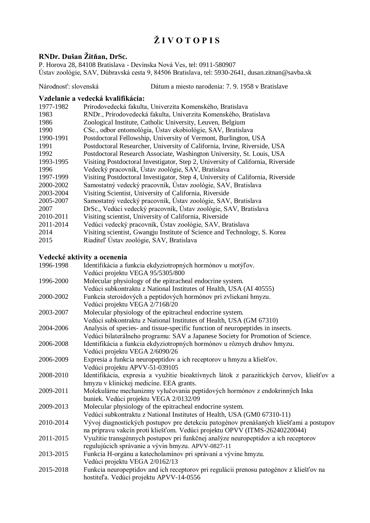# **Ž I V O T O P I S**

# **RNDr. Dušan Žitňan, DrSc.**

P. Horova 28, 84108 Bratislava - Devínska Nová Ves, tel: 0911-580907 Ústav zoológie, SAV, Dúbravská cesta 9, 84506 Bratislava, tel: 5930-2641, dusan.zitnan@savba.sk

#### Národnosť: slovenská Dátum a miesto narodenia: 7. 9. 1958 v Bratislave

#### **Vzdelanie a vedecká kvalifikácia:**

| 1977-1982 | Prírodovedecká fakulta, Univerzita Komenského, Bratislava                       |
|-----------|---------------------------------------------------------------------------------|
| 1983      | RNDr., Prírodovedecká fakulta, Univerzita Komenského, Bratislava                |
| 1986      | Zoological Institute, Catholic University, Leuven, Belgium                      |
| 1990      | CSc., odbor entomológia, Ústav ekobiológie, SAV, Bratislava                     |
| 1990-1991 | Postdoctoral Fellowship, University of Vermont, Burlington, USA                 |
| 1991      | Postdoctoral Researcher, University of California, Irvine, Riverside, USA       |
| 1992      | Postdoctoral Research Associate, Washington University, St. Louis, USA          |
| 1993-1995 | Visiting Postdoctoral Investigator, Step 2, University of California, Riverside |
| 1996      | Vedecký pracovník, Ústav zoológie, SAV, Bratislava                              |
| 1997-1999 | Visiting Postdoctoral Investigator, Step 4, University of California, Riverside |
| 2000-2002 | Samostatný vedecký pracovník, Ústav zoológie, SAV, Bratislava                   |
| 2003-2004 | Visiting Scientist, University of California, Riverside                         |
| 2005-2007 | Samostatný vedecký pracovník, Ústav zoológie, SAV, Bratislava                   |
| 2007      | DrSc., Vedúci vedecký pracovník, Ústav zoológie, SAV, Bratislava                |
| 2010-2011 | Visiting scientist, University of California, Riverside                         |
| 2011-2014 | Vedúci vedecký pracovník, Ústav zoológie, SAV, Bratislava                       |
| 2014      | Visiting scientist, Gwangju Institute of Science and Technology, S. Korea       |
| 2015      | Riaditel' Ustav zoológie, SAV, Bratislava                                       |

## **Vedecké aktivity a ocenenia**

| 1996-1998 | Identifikácia a funkcia ekdyziotropných hormónov u motýľov.                              |
|-----------|------------------------------------------------------------------------------------------|
|           | Vedúci projektu VEGA 95/5305/800                                                         |
| 1996-2000 | Molecular physiology of the epitracheal endocrine system.                                |
|           | Vedúci subkontraktu z National Institutes of Health, USA (AI 40555)                      |
| 2000-2002 | Funkcia steroidových a peptidových hormónov pri zvliekaní hmyzu.                         |
|           | Vedúci projektu VEGA 2/7168/20                                                           |
| 2003-2007 | Molecular physiology of the epitracheal endocrine system.                                |
|           | Vedúci subkontraktu z National Institutes of Health, USA (GM 67310)                      |
| 2004-2006 | Analysis of species- and tissue-specific function of neuropeptides in insects.           |
|           | Vedúci bilaterálneho programu: SAV a Japanese Society for Promotion of Science.          |
| 2006-2008 | Identifikácia a funkcia ekdyziotropných hormónov u rôznych druhov hmyzu.                 |
|           | Vedúci projektu VEGA 2/6090/26                                                           |
| 2006-2009 | Expresia a funkcia neuropeptidov a ich receptorov u hmyzu a kliešťov.                    |
|           | Vedúci projektu APVV-51-039105                                                           |
| 2008-2010 | Identifikácia, expresia a využitie bioaktívnych látok z parazitických červov, kliešťov a |
|           | hmyzu v klinickej medicíne. EEA grants.                                                  |
| 2009-2011 | Molekulárne mechanizmy vylučovania peptidových hormónov z endokrinných Inka              |
|           | buniek. Vedúci projektu VEGA 2/0132/09                                                   |
| 2009-2013 | Molecular physiology of the epitracheal endocrine system.                                |
|           | Vedúci subkontraktu z National Institutes of Health, USA (GM0 67310-11)                  |
| 2010-2014 | Vývoj diagnostických postupov pre detekciu patogénov prenášaných kliešťami a postupov    |
|           | na prípravu vakcín proti kliešťom. Vedúci projektu OPVV (ITMS-26240220044)               |
| 2011-2015 | Využitie transgénnych postupov pri funkčnej analýze neuropeptidov a ich receptorov       |
|           | regulujúcich správanie a vývin hmyzu. APVV-0827-11                                       |
| 2013-2015 | Funkcia H-orgánu a katecholamínov pri správaní a vývine hmyzu.                           |
|           | Vedúci projektu VEGA 2/0162/13                                                           |
| 2015-2018 | Funkcia neuropeptidov and ich receptorov pri regulácii prenosu patogénov z kliešťov na   |
|           | hostiteľa. Vedúci projektu APVV-14-0556                                                  |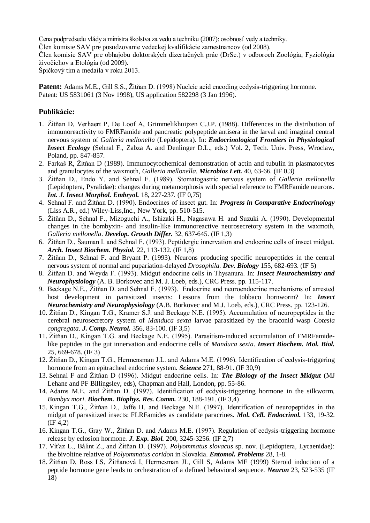Cena podpredsedu vlády a ministra školstva za vedu a techniku (2007): osobnosť vedy a techniky. Člen komisie SAV pre posudzovanie vedeckej kvalifikácie zamestnancov (od 2008). Člen komisie SAV pre obhajobu doktorských dizertačných prác (DrSc.) v odboroch Zoológia, Fyziológia živočíchov a Etológia (od 2009).

Špičkový tím a medaila v roku 2013.

**Patent:** Adams M.E., Gill S.S., Žitňan D. (1998) Nucleic acid encoding ecdysis-triggering hormone. Patent: US 5831061 (3 Nov 1998), US application 582298 (3 Jan 1996).

## **Publikácie:**

- 1. Žitňan D, Verhaert P, De Loof A, Grimmelikhuijzen C.J.P. (1988). Differences in the distribution of immunoreactivity to FMRFamide and pancreatic polypeptide antisera in the larval and imaginal central nervous system of *Galleria mellonella* (Lepidoptera). In: *Endocrinological Frontiers in Physiological Insect Ecology* (Sehnal F., Zabza A. and Denlinger D.L., eds.) Vol. 2, Tech. Univ. Press, Wroclaw, Poland, pp. 847-857.
- 2. Farkaš R, Žitňan D (1989). Immunocytochemical demonstration of actin and tubulin in plasmatocytes and granulocytes of the waxmoth, *Galleria mellonella*. *Microbios Lett.* 40, 63-66. (IF 0,3)
- 3. Žitňan D., Endo Y. and Sehnal F. (1989). Stomatogastric nervous system of *Galleria mellonella*  (Lepidoptera, Pyralidae): changes during metamorphosis with special reference to FMRFamide neurons. *Int. J. Insect Morphol. Embryol.* 18, 227-237. (IF 0,75)
- 4. Sehnal F. and Žitňan D. (1990). Endocrines of insect gut. In: *Progress in Comparative Endocrinology*  (Liss A.R., ed.) Wiley-Liss,Inc., New York, pp. 510-515.
- 5. Žitňan D., Sehnal F., Mizoguchi A., Ishizaki H., Nagasawa H. and Suzuki A. (1990). Developmental changes in the bombyxin- and insulin-like immunoreactive neurosecretory system in the waxmoth, *Galleria mellonella*. *Develop. Growth Differ.* 32, 637-645. (IF 1,3)
- 6. Žitňan D., Šauman I. and Sehnal F. (1993). Peptidergic innervation and endocrine cells of insect midgut. *Arch. Insect Biochem. Physiol.* 22, 113-132. (IF 1,8)
- 7. Žitňan D., Sehnal F. and Bryant P. (1993). Neurons producing specific neuropeptides in the central nervous system of normal and pupariation-delayed *Drosophila*. *Dev. Biology* 155, 682-693. (IF 5)
- 8. Žitňan D. and Weyda F. (1993). Midgut endocrine cells in Thysanura. In: *Insect Neurochemistry and Neurophysiology* (A. B. Borkovec and M. J. Loeb, eds.), CRC Press. pp. 115-117.
- 9. Beckage N.E., Žitňan D. and Sehnal F. (1993). Endocrine and neuroendocrine mechanisms of arrested host development in parasitized insects: Lessons from the tobbaco hornworm? In: *Insect Neurochemistry and Neurophysiology* (A.B. Borkovec and M.J. Loeb, eds.), CRC Press. pp. 123-126.
- 10. Žitňan D., Kingan T.G., Kramer S.J. and Beckage N.E. (1995). Accumulation of neuropeptides in the cerebral neurosecretory system of *Manduca sexta* larvae parasitized by the braconid wasp *Cotesia congregata*. *J. Comp. Neurol.* 356, 83-100. (IF 3,5)
- 11. Žitňan D., Kingan T.G. and Beckage N.E. (1995). Parasitism-induced accumulation of FMRFamidelike peptides in the gut innervation and endocrine cells of *Manduca sexta*. *Insect Biochem. Mol. Biol.* 25, 669-678. (IF 3)
- 12. Žitňan D., Kingan T.G., Hermensman J.L. and Adams M.E. (1996). Identification of ecdysis-triggering hormone from an epitracheal endocrine system. *Science* 271, 88-91. (IF 30,9)
- 13. Sehnal F and Žitňan D (1996). Midgut endocrine cells. In: *The Biology of the Insect Midgut* (MJ Lehane and PF Billingsley, eds), Chapman and Hall, London, pp. 55-86.
- 14. Adams M.E. and Žitňan D. (1997). Identification of ecdysis-triggering hormone in the silkworm, *Bombyx mori*. *Biochem. Biophys. Res. Comm.* 230, 188-191. (IF 3,4)
- 15. Kingan T.G., Žitňan D., Jaffe H. and Beckage N.E. (1997). Identification of neuropeptides in the midgut of parasitized insects: FLRFamides as candidate paracrines. *Mol. Cell. Endocrinol.* 133, 19-32. (IF 4,2)
- 16. Kingan T.G., Gray W., Žitňan D. and Adams M.E. (1997). Regulation of ecdysis-triggering hormone release by eclosion hormone. *J. Exp. Biol.* 200, 3245-3256. (IF 2,7)
- 17. Víťaz L., Bálint Z., and Žitňan D. (1997). *Polyommatus slovacus* sp. nov. (Lepidoptera, Lycaenidae): the bivoltine relative of *Polyommatus coridon* in Slovakia. *Entomol. Problems* 28, 1-8.
- 18. Žitňan D, Ross LS, Žitňanová I, Hermesman JL, Gill S, Adams ME (1999) Steroid induction of a peptide hormone gene leads to orchestration of a defined behavioral sequence. *Neuron* 23, 523-535 (IF 18)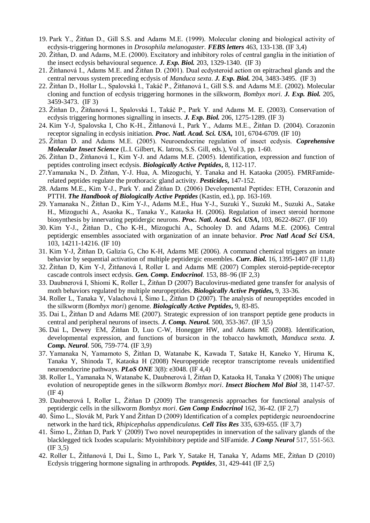- 19. Park Y., Žitňan D., Gill S.S. and Adams M.E. (1999). Molecular cloning and biological activity of ecdysis-triggering hormones in *Drosophila melanogaster. FEBS letters* 463, 133-138. (IF 3,4)
- 20. Žitňan, D. and Adams, M.E. (2000). Excitatory and inhibitory roles of central ganglia in the initiation of the insect ecdysis behavioural sequence. *J. Exp. Biol.* 203, 1329-1340. (IF 3)
- 21. Žitňanová I., Adams M.E. and Žitňan D. (2001). Dual ecdysteroid action on epitracheal glands and the central nervous system preceding ecdysis of *Manduca sexta*. *J. Exp. Biol.* 204, 3483-3495. (IF 3)
- 22. Žitňan D., Hollar L., Spalovská I., Takáč P., Žitňanová I., Gill S.S. and Adams M.E. (2002). Molecular cloning and function of ecdysis triggering hormones in the silkworm, *Bombyx mori. J. Exp. Biol.* 205, 3459-3473. (IF 3)
- 23. Žitňan D., Žitňanová I., Spalovská I., Takáč P., Park Y. and Adams M. E. (2003). Conservation of ecdysis triggering hormones signalling in insects. *J. Exp. Biol.* 206, 1275-1289. (IF 3)
- 24. [Kim Y-J, Spalovska I, Cho K-H., Žitňanová I., Park Y., Adams M.E., Žitňan D.](http://www.ncbi.nlm.nih.gov/entrez/query.fcgi?cmd=Retrieve&db=pubmed&dopt=Abstract&list_uids=15096620) (2004). Corazonin receptor signaling in ecdysis initiation. *Proc. Natl. Acad. Sci. USA,* 101, 6704-6709. (IF 10)
- 25. Žitňan D. and Adams M.E. (2005). Neuroendocrine regulation of insect ecdysis. *Coprehensive Molecular Insect Science* (L.I. Gilbert, K. Iatrou, S.S. Gill, eds.), Vol 3, pp. 1-60.
- 26. Žitňan D., Žitňanová I., Kim Y-J. and Adams M.E. (2005). Identification, expression and function of peptides controling insect ecdysis. *Biologically Active Peptides***,** 8, 112-117.
- 27.Yamanaka N., D. Žitňan, Y-J. Hua, A. Mizoguchi, Y. Tanaka and H. Kataoka (2005). FMRFamiderelated peptides regulate the prothoracic gland activity. *Pesticides***,** 147-152.
- 28. Adams M.E., Kim Y-J., Park Y. and Žitňan D. (2006) Developmental Peptides: ETH, Corazonin and PTTH. *The Handbook of Biologically Active Peptides* (Kastin, ed.), pp. 163-169.
- 29. Yamanaka N., Žitňan D., Kim Y-J., Adams M.E., Hua Y-J., Suzuki Y., Suzuki M., Suzuki A., Satake H., Mizoguchi A., Asaoka K., Tanaka Y., Kataoka H. (2006). Regulation of insect steroid hormone biosynthesis by innervating peptidergic neurons. *Proc. Natl. Acad. Sci. USA***,** 103, 8622-8627. (IF 10)
- 30. Kim Y-J., Žitňan D., Cho K-H., Mizoguchi A., Schooley D. and Adams M.E. (2006). Central peptidergic ensembles associated with organization of an innate behavior. *Proc Natl Acad Sci USA*, 103, 14211-14216. (IF 10)
- 31. Kim Y-J, Žitňan D, Galizia G, Cho K-H, Adams ME (2006). A command chemical triggers an innate behavior by sequential activation of multiple peptidergic ensembles. *Curr. Biol.* 16, 1395-1407 (IF 11,8)
- 32. Žitňan D, Kim Y-J, Žitňanová I, Roller L and Adams ME (2007) Complex steroid-peptide-receptor cascade controls insect ecdysis. *Gen. Comp. Endocrinol.* 153, 88–96 (IF 2,3)
- 33. Daubnerová I, Shiomi K, Roller L, Žitňan D (2007) Baculovirus-mediated gene transfer for analysis of moth behaviors regulated by multiple neuropeptides. *Biologically Active Peptides***,** 9, 33-36.
- 34. Roller L, Tanaka Y, Valachová I, Šimo L, Žitňan D (2007). The analysis of neuropeptides encoded in the silkworm (*Bombyx mori*) genome. *Biologically Active Peptides***,** 9, 83-85.
- 35. Dai L, Žitňan D and Adams ME (2007). Strategic expression of ion transport peptide gene products in central and peripheral neurons of insects. *J. Comp. Neurol.* 500, 353-367. (IF 3,5)
- 36. Dai L, Dewey .EM, Žitňan D, Luo C-W, Honegger HW, and Adams ME (2008). Identification, developmental expression, and functions of bursicon in the tobacco hawkmoth, *Manduca sexta. J. Comp. Neurol.* 506, 759-774. (IF 3,9)
- 37. Yamanaka N, Yamamoto S, Žitňan D, Watanabe K, Kawada T, Satake H, Kaneko Y, Hiruma K, Tanaka Y, Shinoda T, Kataoka H (2008) Neuropeptide receptor transcriptome reveals unidentified neuroendocrine pathways. *PLoS ONE* 3(8): e3048. (IF 4,4)
- 38. Roller L, Yamanaka N, Watanabe K, Daubnerová I, Žitňan D, Kataoka H, Tanaka Y (2008) The unique evolution of neuropeptide genes in the silkworm *Bombyx mori*. *Insect Biochem Mol Biol* 38, 1147-57. (IF 4)
- 39. Daubnerová I, Roller L, Žitňan D (2009) The transgenesis approaches for functional analysis of peptidergic cells in the silkworm *Bombyx mori*. *Gen Comp Endocrinol* 162, 36-42. (IF 2,7)
- 40. Šimo L., Slovák M, Park Yand Žitňan D (2009) Identification of a complex peptidergic neuroendocrine network in the hard tick, *Rhipicephalus appendiculatus. Cell Tiss Res* 335, 639-655. (IF 3,7)
- 41. Šimo L, Žitňan D, Park Y. (2009) Two novel neuropeptides in innervation of the salivary glands of the blacklegged tick Ixodes scapularis: Myoinhibitory peptide and SIFamide. *J Comp Neurol* 517, 551-563. (IF 3,5)
- 42. Roller L, Žitňanová I, Dai L, Šimo L, Park Y, Satake H, Tanaka Y, Adams ME, Žitňan D (2010) Ecdysis triggering hormone signaling in arthropods. *Peptides*, 31, 429-441 (IF 2,5)